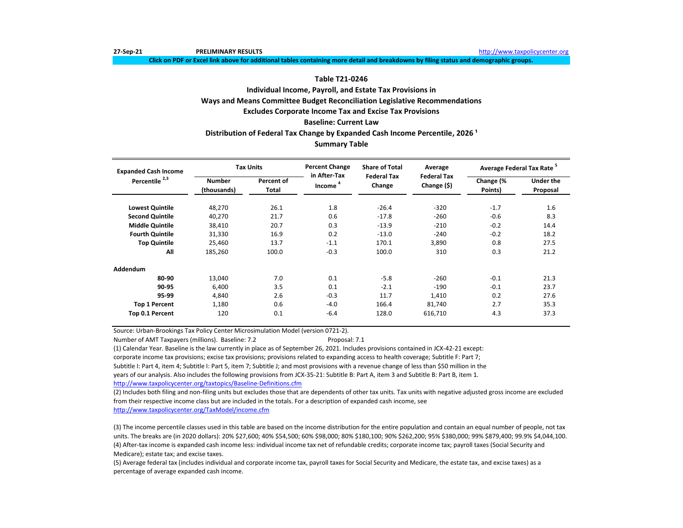**27-Sep-21 PRELIMINARY RESULTS** [http://www.t](http://www.taxpolicycenter.org/)axpolicycenter.org

**Click on PDF or Excel link above for additional tables containing more detail and breakdowns by filing status and demographic groups.**

## **Table T21-0246**

# **Individual Income, Payroll, and Estate Tax Provisions in Ways and Means Committee Budget Reconciliation Legislative Recommendations Excludes Corporate Income Tax and Excise Tax Provisions**

## **Baseline: Current Law**

## **Distribution of Federal Tax Change by Expanded Cash Income Percentile, 2026 ¹**

## **Summary Table**

| <b>Expanded Cash Income</b> |                              | <b>Tax Units</b>    | <b>Percent Change</b><br>in After-Tax | <b>Share of Total</b>        | Average                           | Average Federal Tax Rate <sup>5</sup> |                              |
|-----------------------------|------------------------------|---------------------|---------------------------------------|------------------------------|-----------------------------------|---------------------------------------|------------------------------|
| Percentile <sup>2,3</sup>   | <b>Number</b><br>(thousands) | Percent of<br>Total | Income                                | <b>Federal Tax</b><br>Change | <b>Federal Tax</b><br>Change (\$) | Change (%<br>Points)                  | <b>Under the</b><br>Proposal |
| <b>Lowest Quintile</b>      | 48,270                       | 26.1                | 1.8                                   | $-26.4$                      | $-320$                            | $-1.7$                                | 1.6                          |
| <b>Second Quintile</b>      | 40,270                       | 21.7                | 0.6                                   | $-17.8$                      | $-260$                            | $-0.6$                                | 8.3                          |
| <b>Middle Quintile</b>      | 38,410                       | 20.7                | 0.3                                   | $-13.9$                      | $-210$                            | $-0.2$                                | 14.4                         |
| <b>Fourth Quintile</b>      | 31,330                       | 16.9                | 0.2                                   | $-13.0$                      | $-240$                            | $-0.2$                                | 18.2                         |
| <b>Top Quintile</b>         | 25.460                       | 13.7                | $-1.1$                                | 170.1                        | 3,890                             | 0.8                                   | 27.5                         |
| All                         | 185,260                      | 100.0               | $-0.3$                                | 100.0                        | 310                               | 0.3                                   | 21.2                         |
| Addendum                    |                              |                     |                                       |                              |                                   |                                       |                              |
| 80-90                       | 13,040                       | 7.0                 | 0.1                                   | $-5.8$                       | $-260$                            | $-0.1$                                | 21.3                         |
| 90-95                       | 6,400                        | 3.5                 | 0.1                                   | $-2.1$                       | $-190$                            | $-0.1$                                | 23.7                         |
| 95-99                       | 4.840                        | 2.6                 | $-0.3$                                | 11.7                         | 1,410                             | 0.2                                   | 27.6                         |
| <b>Top 1 Percent</b>        | 1,180                        | 0.6                 | $-4.0$                                | 166.4                        | 81,740                            | 2.7                                   | 35.3                         |
| Top 0.1 Percent             | 120                          | 0.1                 | $-6.4$                                | 128.0                        | 616,710                           | 4.3                                   | 37.3                         |

Source: Urban-Brookings Tax Policy Center Microsimulation Model (version 0721-2).

Number of AMT Taxpayers (millions). Baseline: 7.2 Proposal: 7.1

(1) Calendar Year. Baseline is the law currently in place as of September 26, 2021. Includes provisions contained in JCX-42-21 except:

corporate income tax provisions; excise tax provisions; provisions related to expanding access to health coverage; Subtitle F: Part 7;

Subtitle I: Part 4, item 4; Subtitle I: Part 5, item 7; Subtitle J; and most provisions with a revenue change of less than \$50 million in the

years of our analysis. Also includes the following provisions from JCX-35-21: Subtitle B: Part A, item 3 and Subtitle B: Part B, item 1.

[http://www.taxpolicycente](http://www.taxpolicycenter.org/taxtopics/Baseline-Definitions.cfm)r.org/taxtopics/Baseline-Definitions.cfm

(2) Includes both filing and non-filing units but excludes those that are dependents of other tax units. Tax units with negative adjusted gross income are excluded from their respective income class but are included in the totals. For a description of expanded cash income, see

[http://www.taxpolicycente](http://www.taxpolicycenter.org/TaxModel/income.cfm)r.org/TaxModel/income.cfm

(3) The income percentile classes used in this table are based on the income distribution for the entire population and contain an equal number of people, not tax units. The breaks are (in 2020 dollars): 20% \$27,600; 40% \$54,500; 60% \$98,000; 80% \$180,100; 90% \$262,200; 95% \$380,000; 99% \$879,400; 99.9% \$4,044,100. (4) After-tax income is expanded cash income less: individual income tax net of refundable credits; corporate income tax; payroll taxes (Social Security and Medicare); estate tax; and excise taxes.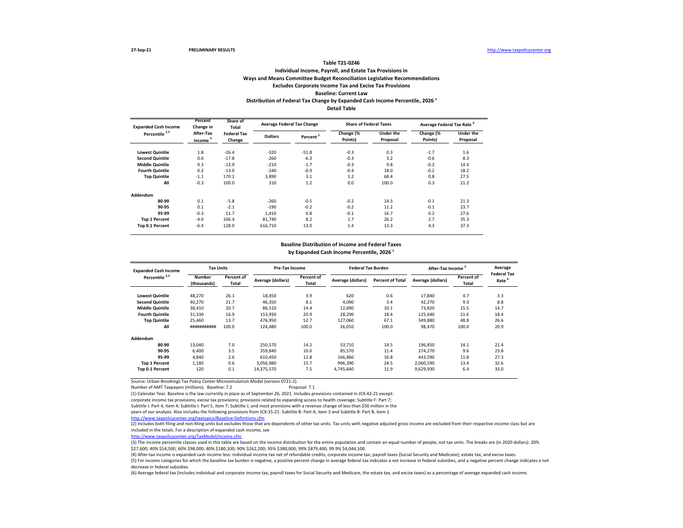## **Individual Income, Payroll, and Estate Tax Provisions in Ways and Means Committee Budget Reconciliation Legislative Recommendations Excludes Corporate Income Tax and Excise Tax Provisions Baseline: Current Law Table T21-0246** Distribution of Federal Tax Change by Expanded Cash Income Percentile, 2026<sup>1</sup> **Detail Table**

| <b>Expanded Cash Income</b> | Percent<br>Share of<br>Change in<br><b>Total</b> |                              | <b>Average Federal Tax Change</b> |                      | <b>Share of Federal Taxes</b> |                              | Average Federal Tax Rate <sup>6</sup> |                       |  |
|-----------------------------|--------------------------------------------------|------------------------------|-----------------------------------|----------------------|-------------------------------|------------------------------|---------------------------------------|-----------------------|--|
| Percentile <sup>2,3</sup>   | After-Tax<br>Income <sup>4</sup>                 | <b>Federal Tax</b><br>Change | <b>Dollars</b>                    | Percent <sup>5</sup> | Change (%<br>Points)          | <b>Under the</b><br>Proposal | Change (%<br>Points)                  | Under the<br>Proposal |  |
| <b>Lowest Quintile</b>      | 1.8                                              | $-26.4$                      | $-320$                            | $-51.8$              | $-0.3$                        | 0.3                          | $-1.7$                                | 1.6                   |  |
| <b>Second Quintile</b>      | 0.6                                              | $-17.8$                      | $-260$                            | $-6.3$               | $-0.3$                        | 3.2                          | $-0.6$                                | 8.3                   |  |
| <b>Middle Quintile</b>      | 0.3                                              | $-13.9$                      | $-210$                            | $-1.7$               | $-0.3$                        | 9.8                          | $-0.2$                                | 14.4                  |  |
| <b>Fourth Quintile</b>      | 0.2                                              | $-13.0$                      | $-240$                            | $-0.9$               | $-0.4$                        | 18.0                         | $-0.2$                                | 18.2                  |  |
| <b>Top Quintile</b>         | $-1.1$                                           | 170.1                        | 3,890                             | 3.1                  | 1.2                           | 68.4                         | 0.8                                   | 27.5                  |  |
| All                         | $-0.3$                                           | 100.0                        | 310                               | 1.2                  | 0.0                           | 100.0                        | 0.3                                   | 21.2                  |  |
| Addendum                    |                                                  |                              |                                   |                      |                               |                              |                                       |                       |  |
| 80-90                       | 0.1                                              | $-5.8$                       | $-260$                            | $-0.5$               | $-0.2$                        | 14.3                         | $-0.1$                                | 21.3                  |  |
| 90-95                       | 0.1                                              | $-2.1$                       | $-190$                            | $-0.2$               | $-0.2$                        | 11.2                         | $-0.1$                                | 23.7                  |  |
| 95-99                       | $-0.3$                                           | 11.7                         | 1,410                             | 0.8                  | $-0.1$                        | 16.7                         | 0.2                                   | 27.6                  |  |
| <b>Top 1 Percent</b>        | $-4.0$                                           | 166.4                        | 81.740                            | 8.2                  | 1.7                           | 26.2                         | 2.7                                   | 35.3                  |  |
| Top 0.1 Percent             | $-6.4$                                           | 128.0                        | 616,710                           | 13.0                 | 1.4                           | 13.3                         | 4.3                                   | 37.3                  |  |

#### **Baseline Distribution of Income and Federal Taxes**

by Expanded Cash Income Percentile, 2026<sup>1</sup>

| <b>Expanded Cash Income</b> | <b>Tax Units</b>             |                     | Pre-Tax Income    |                     | <b>Federal Tax Burden</b> |                         | <b>After-Tax Income</b> | Average                    |                                         |
|-----------------------------|------------------------------|---------------------|-------------------|---------------------|---------------------------|-------------------------|-------------------------|----------------------------|-----------------------------------------|
| Percentile <sup>2,3</sup>   | <b>Number</b><br>(thousands) | Percent of<br>Total | Average (dollars) | Percent of<br>Total | Average (dollars)         | <b>Percent of Total</b> | Average (dollars)       | Percent of<br><b>Total</b> | <b>Federal Tax</b><br>Rate <sup>6</sup> |
| <b>Lowest Quintile</b>      | 48.270                       | 26.1                | 18.450            | 3.9                 | 620                       | 0.6                     | 17.840                  | 4.7                        | 3.3                                     |
| <b>Second Quintile</b>      | 40,270                       | 21.7                | 46.350            | 8.1                 | 4.090                     | 3.4                     | 42.270                  | 9.3                        | 8.8                                     |
| <b>Middle Quintile</b>      | 38.410                       | 20.7                | 86.510            | 14.4                | 12.690                    | 10.1                    | 73.820                  | 15.5                       | 14.7                                    |
| <b>Fourth Quintile</b>      | 31,330                       | 16.9                | 153,930           | 20.9                | 28,290                    | 18.4                    | 125,640                 | 21.6                       | 18.4                                    |
| <b>Top Quintile</b>         | 25,460                       | 13.7                | 476,950           | 52.7                | 127,060                   | 67.1                    | 349,880                 | 48.8                       | 26.6                                    |
| All                         | ###########                  | 100.0               | 124.480           | 100.0               | 26.010                    | 100.0                   | 98,470                  | 100.0                      | 20.9                                    |
| Addendum                    |                              |                     |                   |                     |                           |                         |                         |                            |                                         |
| 80-90                       | 13,040                       | 7.0                 | 250,570           | 14.2                | 53,710                    | 14.5                    | 196,850                 | 14.1                       | 21.4                                    |
| 90-95                       | 6.400                        | 3.5                 | 359.840           | 10.0                | 85,570                    | 11.4                    | 274,270                 | 9.6                        | 23.8                                    |
| 95-99                       | 4,840                        | 2.6                 | 610.450           | 12.8                | 166,860                   | 16.8                    | 443,590                 | 11.8                       | 27.3                                    |
| <b>Top 1 Percent</b>        | 1.180                        | 0.6                 | 3.056.980         | 15.7                | 996.390                   | 24.5                    | 2.060.590               | 13.4                       | 32.6                                    |
| <b>Top 0.1 Percent</b>      | 120                          | 0.1                 | 14,375,570        | 7.5                 | 4,745,640                 | 11.9                    | 9,629,930               | 6.4                        | 33.0                                    |

Source: Urban-Brookings Tax Policy Center Microsimulation Model (version 0721-2).

Number of AMT Taxpayers (millions). Baseline: 7.2 Proposal: 7.1

(1) Calendar Year. Baseline is the law currently in place as of September 26, 2021. Includes provisions contained in JCX-42-21 except:

corporate income tax provisions; excise tax provisions; provisions related to expanding access to health coverage; Subtitle F: Part 7;

Subtitle I: Part 4, item 4; Subtitle I: Part 5, item 7; Subtitle J; and most provisions with a revenue change of less than \$50 million in the

years of our analysis. Also includes the following provisions from JCX-35-21: Subtitle B: Part A, item 3 and Subtitle B: Part B, item 1.

<http://www.taxpolicycenter.org/taxtopics/Baseline-Definitions.cfm>

(2) Includes both filing and non-filing units but excludes those that are dependents of other tax units. Tax units with negative adjusted gross income are excluded from their respective income class but are included in the totals. For a description of expanded cash income, see

[http://www.taxpolicycent](http://www.taxpolicycenter.org/TaxModel/income.cfm)er.org/TaxModel/income.cfm

(3) The income percentile classes used in this table are based on the income distribution for the entire population and contain an equal number of people, not tax units. The breaks are (in 2020 dollars): 20% \$27,600; 40% \$54,500; 60% \$98,000; 80% \$180,100; 90% \$262,200; 95% \$380,000; 99% \$879,400; 99.9% \$4,044,100.

(4) After-tax income is expanded cash income less: individual income tax net of refundable credits; corporate income tax; payroll taxes (Social Security and Medicare); estate tax; and excise taxes. (5) For income categories for which the baseline tax burden is negative, a positive percent change in average federal tax indicates a net increase in federal subsidies, and a negative percent change indicates a net decrease in federal subsidies.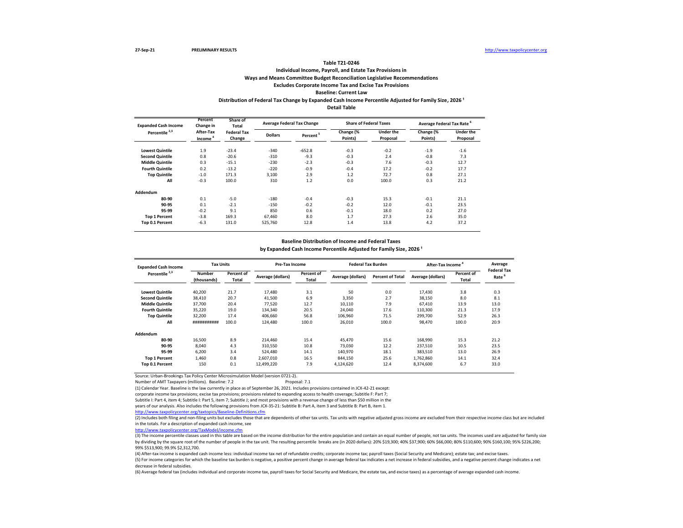## **Individual Income, Payroll, and Estate Tax Provisions in Ways and Means Committee Budget Reconciliation Legislative Recommendations Excludes Corporate Income Tax and Excise Tax Provisions**

## **Baseline: Current Law**

### **Distribution of Federal Tax Change by Expanded Cash Income Percentile Adjusted for Family Size, 2026 ¹ Detail Table**

| <b>Expanded Cash Income</b> | Percent<br>Change in             | Share of<br>Total            |                | <b>Average Federal Tax Change</b> | <b>Share of Federal Taxes</b> |                              | Average Federal Tax Rate <sup>6</sup> |                              |
|-----------------------------|----------------------------------|------------------------------|----------------|-----------------------------------|-------------------------------|------------------------------|---------------------------------------|------------------------------|
| Percentile <sup>2,3</sup>   | After-Tax<br>Income <sup>4</sup> | <b>Federal Tax</b><br>Change | <b>Dollars</b> | Percent <sup>5</sup>              | Change (%<br>Points)          | <b>Under the</b><br>Proposal | Change (%<br>Points)                  | <b>Under the</b><br>Proposal |
| <b>Lowest Quintile</b>      | 1.9                              | $-23.4$                      | $-340$         | $-652.8$                          | $-0.3$                        | $-0.2$                       | $-1.9$                                | $-1.6$                       |
| <b>Second Quintile</b>      | 0.8                              | $-20.6$                      | $-310$         | $-9.3$                            | $-0.3$                        | 2.4                          | $-0.8$                                | 7.3                          |
| <b>Middle Quintile</b>      | 0.3                              | $-15.1$                      | $-230$         | $-2.3$                            | $-0.3$                        | 7.6                          | $-0.3$                                | 12.7                         |
| <b>Fourth Quintile</b>      | 0.2                              | $-13.2$                      | $-220$         | $-0.9$                            | $-0.4$                        | 17.2                         | $-0.2$                                | 17.7                         |
| <b>Top Quintile</b>         | $-1.0$                           | 171.3                        | 3,100          | 2.9                               | 1.2                           | 72.7                         | 0.8                                   | 27.1                         |
| All                         | $-0.3$                           | 100.0                        | 310            | 1.2                               | 0.0                           | 100.0                        | 0.3                                   | 21.2                         |
| Addendum                    |                                  |                              |                |                                   |                               |                              |                                       |                              |
| 80-90                       | 0.1                              | $-5.0$                       | $-180$         | $-0.4$                            | $-0.3$                        | 15.3                         | $-0.1$                                | 21.1                         |
| 90-95                       | 0.1                              | $-2.1$                       | $-150$         | $-0.2$                            | $-0.2$                        | 12.0                         | $-0.1$                                | 23.5                         |
| 95-99                       | $-0.2$                           | 9.1                          | 850            | 0.6                               | $-0.1$                        | 18.0                         | 0.2                                   | 27.0                         |
| <b>Top 1 Percent</b>        | $-3.8$                           | 169.3                        | 67.460         | 8.0                               | 1.7                           | 27.3                         | 2.6                                   | 35.0                         |
| Top 0.1 Percent             | $-6.3$                           | 131.0                        | 525,760        | 12.8                              | 1.4                           | 13.8                         | 4.2                                   | 37.2                         |

#### **Baseline Distribution of Income and Federal Taxes**

by Expanded Cash Income Percentile Adjusted for Family Size, 2026<sup>1</sup>

| <b>Expanded Cash Income</b> | <b>Tax Units</b>             |                     | <b>Pre-Tax Income</b> |                            | <b>Federal Tax Burden</b> |                         | <b>After-Tax Income</b> | Average<br><b>Federal Tax</b> |             |
|-----------------------------|------------------------------|---------------------|-----------------------|----------------------------|---------------------------|-------------------------|-------------------------|-------------------------------|-------------|
| Percentile <sup>2,3</sup>   | <b>Number</b><br>(thousands) | Percent of<br>Total | Average (dollars)     | Percent of<br><b>Total</b> | Average (dollars)         | <b>Percent of Total</b> | Average (dollars)       | Percent of<br>Total           | - 6<br>Rate |
| <b>Lowest Quintile</b>      | 40,200                       | 21.7                | 17,480                | 3.1                        | 50                        | 0.0                     | 17,430                  | 3.8                           | 0.3         |
| <b>Second Quintile</b>      | 38,410                       | 20.7                | 41,500                | 6.9                        | 3,350                     | 2.7                     | 38,150                  | 8.0                           | 8.1         |
| <b>Middle Quintile</b>      | 37.700                       | 20.4                | 77.520                | 12.7                       | 10.110                    | 7.9                     | 67.410                  | 13.9                          | 13.0        |
| <b>Fourth Quintile</b>      | 35,220                       | 19.0                | 134.340               | 20.5                       | 24.040                    | 17.6                    | 110,300                 | 21.3                          | 17.9        |
| <b>Top Quintile</b>         | 32,200                       | 17.4                | 406.660               | 56.8                       | 106.960                   | 71.5                    | 299.700                 | 52.9                          | 26.3        |
| All                         | ###########                  | 100.0               | 124,480               | 100.0                      | 26.010                    | 100.0                   | 98.470                  | 100.0                         | 20.9        |
| Addendum                    |                              |                     |                       |                            |                           |                         |                         |                               |             |
| 80-90                       | 16.500                       | 8.9                 | 214.460               | 15.4                       | 45.470                    | 15.6                    | 168.990                 | 15.3                          | 21.2        |
| 90-95                       | 8,040                        | 4.3                 | 310,550               | 10.8                       | 73.030                    | 12.2                    | 237,510                 | 10.5                          | 23.5        |
| 95-99                       | 6.200                        | 3.4                 | 524.480               | 14.1                       | 140,970                   | 18.1                    | 383,510                 | 13.0                          | 26.9        |
| <b>Top 1 Percent</b>        | 1.460                        | 0.8                 | 2.607.010             | 16.5                       | 844.150                   | 25.6                    | 1.762.860               | 14.1                          | 32.4        |
| Top 0.1 Percent             | 150                          | 0.1                 | 12.499.220            | 7.9                        | 4.124.620                 | 12.4                    | 8.374.600               | 6.7                           | 33.0        |
|                             |                              |                     |                       |                            |                           |                         |                         |                               |             |

Source: Urban-Brookings Tax Policy Center Microsimulation Model (version 0721-2).

Number of AMT Taxpayers (millions). Baseline: 7.2

(1) Calendar Year. Baseline is the law currently in place as of September 26, 2021. Includes provisions contained in JCX-42-21 except:

corporate income tax provisions; excise tax provisions; provisions related to expanding access to health coverage; Subtitle F: Part 7;

Subtitle I: Part 4, item 4; Subtitle I: Part 5, item 7; Subtitle J; and most provisions with a revenue change of less than \$50 million in the

years of our analysis. Also includes the following provisions from JCX-35-21: Subtitle B: Part A, item 3 and Subtitle B: Part B, item 1.

<http://www.taxpolicycenter.org/taxtopics/Baseline-Definitions.cfm>

(2) Includes both filing and non-filing units but excludes those that are dependents of other tax units. Tax units with negative adjusted gross income are excluded from their respective income class but are included in the totals. For a description of expanded cash income, see

[http://www.taxpolicycente](http://www.taxpolicycenter.org/TaxModel/income.cfm)r.org/TaxModel/income.cfm

(3) The income percentile classes used in this table are based on the income distribution for the entire population and contain an equal number of people, not tax units. The incomes used are adjusted for family size by dividing by the square root of the number of people in the tax unit. The resulting percentile breaks are (in 2020 dollars): 20% \$19,300; 40% \$37,900; 60% \$66,000; 80% \$110,600; 90% \$160,100; 95% \$226,200; 99% \$513,900; 99.9% \$2,312,700.

(4) After-tax income is expanded cash income less: individual income tax net of refundable credits; corporate income tax; payroll taxes (Social Security and Medicare); estate tax; and excise taxes.

(5) For income categories for which the baseline tax burden is negative, a positive percent change in average federal tax indicates a net increase in federal subsidies, and a negative percent change indicates a net decrease in federal subsidies.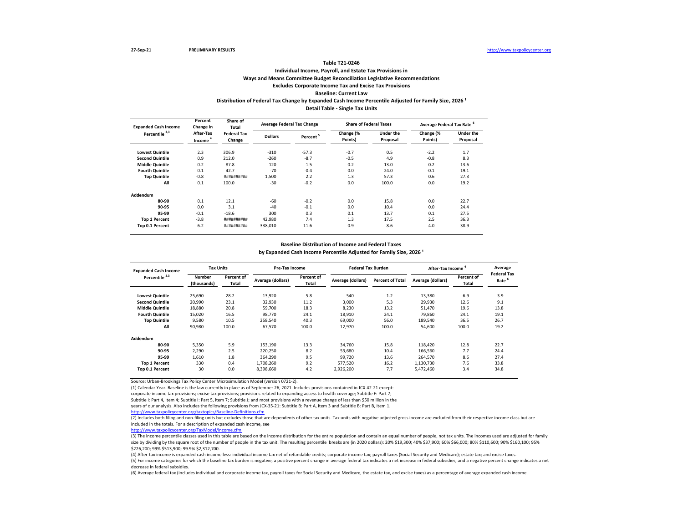## **Individual Income, Payroll, and Estate Tax Provisions in Ways and Means Committee Budget Reconciliation Legislative Recommendations Excludes Corporate Income Tax and Excise Tax Provisions Baseline: Current Law** Distribution of Federal Tax Change by Expanded Cash Income Percentile Adjusted for Family Size, 2026<sup>1</sup> **Detail Table - Single Tax Units**

**Lowest Quintile** 2.3 306.9 -310 -57.3 -0.7 0.5 -2.2 1.7 **Second Quintile**  $0.9$  212.0  $-260$   $-8.7$   $-0.5$   $4.9$   $-0.8$   $8.3$ **Middle Quintile**  $0.2$  87.8  $-120$   $-1.5$   $-0.2$   $13.0$   $-0.2$   $13.6$ **Fourth Quintile**  $0.1$  42.7  $-70$   $-0.4$  0.0  $24.0$   $-0.1$  19.1 **Top Quintile** -0.8 ########## 1,500 2.2 1.3 57.3 0.6 27.3 **All** 0.1 100.0 -30 -0.2 0.0 100.0 0.0 19.2 **Addendum 80-90** 0.1 12.1 -60 -0.2 0.0 15.8 0.0 22.7 **90-95** 0.0 3.1 -40 -0.1 0.0 10.4 0.0 24.4 **95-99** -0.1 -18.6 300 0.3 0.1 13.7 0.1 27.5 **Top 1 Percent** -3.8 ########## 42,980 7.4 1.3 17.5 2.5 36.3 **Top 0.1 Percent** -6.2 ########## 338,010 11.6 0.9 8.6 4.0 38.9 **Percent <sup>5</sup> Change (% Points) Under the Proposal Change (% Points) Under the Proposal Expanded Cash Income Percentile 2,3 Percent Change in After-Tax Income <sup>4</sup> Share of Total Federal Tax Change Average Federal Tax Change Share of Federal Taxes Average Federal Tax Rate <sup>6</sup> Dollars**

#### **Baseline Distribution of Income and Federal Taxes**

by Expanded Cash Income Percentile Adjusted for Family Size, 2026<sup>1</sup>

| <b>Expanded Cash Income</b> | <b>Tax Units</b>             |                     | Pre-Tax Income    |                     | <b>Federal Tax Burden</b> |                         | <b>After-Tax Income</b> | Average<br><b>Federal Tax</b> |                   |
|-----------------------------|------------------------------|---------------------|-------------------|---------------------|---------------------------|-------------------------|-------------------------|-------------------------------|-------------------|
| Percentile <sup>2,3</sup>   | <b>Number</b><br>(thousands) | Percent of<br>Total | Average (dollars) | Percent of<br>Total | Average (dollars)         | <b>Percent of Total</b> | Average (dollars)       | Percent of<br>Total           | Rate <sup>6</sup> |
| <b>Lowest Quintile</b>      | 25,690                       | 28.2                | 13,920            | 5.8                 | 540                       | 1.2                     | 13,380                  | 6.9                           | 3.9               |
| <b>Second Quintile</b>      | 20,990                       | 23.1                | 32,930            | 11.2                | 3.000                     | 5.3                     | 29,930                  | 12.6                          | 9.1               |
| <b>Middle Quintile</b>      | 18,880                       | 20.8                | 59.700            | 18.3                | 8.230                     | 13.2                    | 51,470                  | 19.6                          | 13.8              |
| <b>Fourth Quintile</b>      | 15,020                       | 16.5                | 98.770            | 24.1                | 18,910                    | 24.1                    | 79,860                  | 24.1                          | 19.1              |
| <b>Top Quintile</b>         | 9,580                        | 10.5                | 258.540           | 40.3                | 69.000                    | 56.0                    | 189,540                 | 36.5                          | 26.7              |
| All                         | 90,980                       | 100.0               | 67,570            | 100.0               | 12,970                    | 100.0                   | 54,600                  | 100.0                         | 19.2              |
| Addendum                    |                              |                     |                   |                     |                           |                         |                         |                               |                   |
| 80-90                       | 5,350                        | 5.9                 | 153.190           | 13.3                | 34,760                    | 15.8                    | 118,420                 | 12.8                          | 22.7              |
| 90-95                       | 2,290                        | 2.5                 | 220,250           | 8.2                 | 53,680                    | 10.4                    | 166,560                 | 7.7                           | 24.4              |
| 95-99                       | 1,610                        | 1.8                 | 364.290           | 9.5                 | 99,720                    | 13.6                    | 264,570                 | 8.6                           | 27.4              |
| <b>Top 1 Percent</b>        | 330                          | 0.4                 | 1.708.260         | 9.2                 | 577.520                   | 16.2                    | 1,130,730               | 7.6                           | 33.8              |
| <b>Top 0.1 Percent</b>      | 30                           | 0.0                 | 8.398.660         | 4.2                 | 2.926.200                 | 7.7                     | 5.472.460               | 3.4                           | 34.8              |

Source: Urban-Brookings Tax Policy Center Microsimulation Model (version 0721-2).

(1) Calendar Year. Baseline is the law currently in place as of September 26, 2021. Includes provisions contained in JCX-42-21 except:

corporate income tax provisions; excise tax provisions; provisions related to expanding access to health coverage; Subtitle F: Part 7;

Subtitle I: Part 4, item 4; Subtitle I: Part 5, item 7; Subtitle J; and most provisions with a revenue change of less than \$50 million in the

years of our analysis. Also includes the following provisions from JCX-35-21: Subtitle B: Part A, item 3 and Subtitle B: Part B, item 1.

<http://www.taxpolicycenter.org/taxtopics/Baseline-Definitions.cfm>

(2) Includes both filing and non-filing units but excludes those that are dependents of other tax units. Tax units with negative adjusted gross income are excluded from their respective income class but are included in the totals. For a description of expanded cash income, see

[http://www.taxpolicycent](http://www.taxpolicycenter.org/TaxModel/income.cfm)er.org/TaxModel/income.cfm

(3) The income percentile classes used in this table are based on the income distribution for the entire population and contain an equal number of people, not tax units. The incomes used are adjusted for family size by dividing by the square root of the number of people in the tax unit. The resulting percentile breaks are (in 2020 dollars): 20% \$19,300; 40% \$37,900; 60% \$66,000; 80% \$110,600; 90% \$160,100; 90% \$160,100; 95% \$226,200; 99% \$513,900; 99.9% \$2,312,700.

(4) After-tax income is expanded cash income less: individual income tax net of refundable credits; corporate income tax; payroll taxes (Social Security and Medicare); estate tax; and excise taxes. (5) For income categories for which the baseline tax burden is negative, a positive percent change in average federal tax indicates a net increase in federal subsidies, and a negative percent change indicates a net decrease in federal subsidies.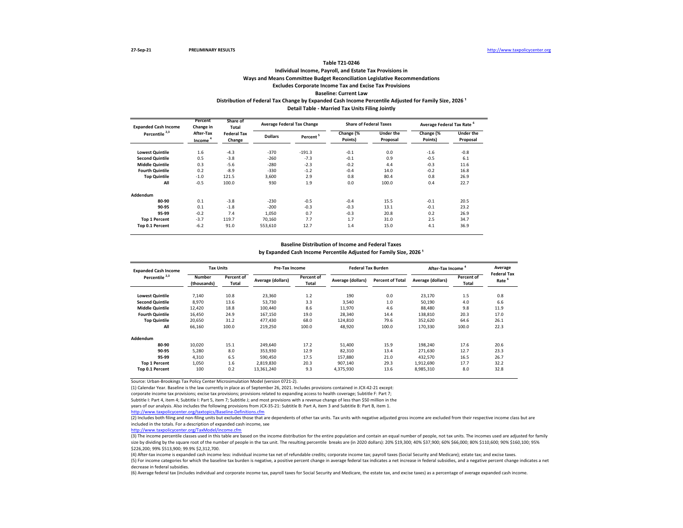## **Individual Income, Payroll, and Estate Tax Provisions in Ways and Means Committee Budget Reconciliation Legislative Recommendations Excludes Corporate Income Tax and Excise Tax Provisions Baseline: Current Law** Distribution of Federal Tax Change by Expanded Cash Income Percentile Adjusted for Family Size, 2026<sup>1</sup> **Detail Table - Married Tax Units Filing Jointly**

| <b>Expanded Cash Income</b> | Percent<br>Change in             | Share of<br><b>Total</b>     |                | <b>Average Federal Tax Change</b> | <b>Share of Federal Taxes</b> |                              | Average Federal Tax Rate <sup>6</sup> |                              |  |
|-----------------------------|----------------------------------|------------------------------|----------------|-----------------------------------|-------------------------------|------------------------------|---------------------------------------|------------------------------|--|
| Percentile <sup>2,3</sup>   | After-Tax<br>Income <sup>4</sup> | <b>Federal Tax</b><br>Change | <b>Dollars</b> | Percent <sup>5</sup>              | Change (%<br>Points)          | <b>Under the</b><br>Proposal | Change (%<br>Points)                  | <b>Under the</b><br>Proposal |  |
| <b>Lowest Quintile</b>      | 1.6                              | $-4.3$                       | $-370$         | $-191.3$                          | $-0.1$                        | 0.0                          | $-1.6$                                | $-0.8$                       |  |
| <b>Second Quintile</b>      | 0.5                              | $-3.8$                       | $-260$         | $-7.3$                            | $-0.1$                        | 0.9                          | $-0.5$                                | 6.1                          |  |
| <b>Middle Quintile</b>      | 0.3                              | $-5.6$                       | $-280$         | $-2.3$                            | $-0.2$                        | 4.4                          | $-0.3$                                | 11.6                         |  |
| <b>Fourth Quintile</b>      | 0.2                              | $-8.9$                       | $-330$         | $-1.2$                            | $-0.4$                        | 14.0                         | $-0.2$                                | 16.8                         |  |
| <b>Top Quintile</b>         | $-1.0$                           | 121.5                        | 3,600          | 2.9                               | 0.8                           | 80.4                         | 0.8                                   | 26.9                         |  |
| All                         | $-0.5$                           | 100.0                        | 930            | 1.9                               | 0.0                           | 100.0                        | 0.4                                   | 22.7                         |  |
| Addendum                    |                                  |                              |                |                                   |                               |                              |                                       |                              |  |
| 80-90                       | 0.1                              | $-3.8$                       | $-230$         | $-0.5$                            | $-0.4$                        | 15.5                         | $-0.1$                                | 20.5                         |  |
| 90-95                       | 0.1                              | $-1.8$                       | $-200$         | $-0.3$                            | $-0.3$                        | 13.1                         | $-0.1$                                | 23.2                         |  |
| 95-99                       | $-0.2$                           | 7.4                          | 1.050          | 0.7                               | $-0.3$                        | 20.8                         | 0.2                                   | 26.9                         |  |
| <b>Top 1 Percent</b>        | $-3.7$                           | 119.7                        | 70,160         | 7.7                               | 1.7                           | 31.0                         | 2.5                                   | 34.7                         |  |
| Top 0.1 Percent             | $-6.2$                           | 91.0                         | 553,610        | 12.7                              | 1.4                           | 15.0                         | 4.1                                   | 36.9                         |  |

#### **Baseline Distribution of Income and Federal Taxes**

by Expanded Cash Income Percentile Adjusted for Family Size, 2026<sup>1</sup>

| <b>Expanded Cash Income</b> | <b>Tax Units</b>             |                     | Pre-Tax Income    |                     | <b>Federal Tax Burden</b> |                         | <b>After-Tax Income</b> | Average<br><b>Federal Tax</b> |                   |
|-----------------------------|------------------------------|---------------------|-------------------|---------------------|---------------------------|-------------------------|-------------------------|-------------------------------|-------------------|
| Percentile <sup>2,3</sup>   | <b>Number</b><br>(thousands) | Percent of<br>Total | Average (dollars) | Percent of<br>Total | Average (dollars)         | <b>Percent of Total</b> | Average (dollars)       | Percent of<br>Total           | Rate <sup>6</sup> |
| <b>Lowest Quintile</b>      | 7,140                        | 10.8                | 23,360            | 1.2                 | 190                       | 0.0                     | 23,170                  | 1.5                           | 0.8               |
| <b>Second Quintile</b>      | 8,970                        | 13.6                | 53,730            | 3.3                 | 3,540                     | 1.0                     | 50,190                  | 4.0                           | 6.6               |
| <b>Middle Quintile</b>      | 12.420                       | 18.8                | 100.440           | 8.6                 | 11,970                    | 4.6                     | 88,480                  | 9.8                           | 11.9              |
| <b>Fourth Quintile</b>      | 16,450                       | 24.9                | 167,150           | 19.0                | 28,340                    | 14.4                    | 138,810                 | 20.3                          | 17.0              |
| <b>Top Quintile</b>         | 20,650                       | 31.2                | 477.430           | 68.0                | 124,810                   | 79.6                    | 352.620                 | 64.6                          | 26.1              |
| All                         | 66,160                       | 100.0               | 219,250           | 100.0               | 48,920                    | 100.0                   | 170.330                 | 100.0                         | 22.3              |
| Addendum                    |                              |                     |                   |                     |                           |                         |                         |                               |                   |
| 80-90                       | 10.020                       | 15.1                | 249.640           | 17.2                | 51.400                    | 15.9                    | 198.240                 | 17.6                          | 20.6              |
| 90-95                       | 5,280                        | 8.0                 | 353,930           | 12.9                | 82,310                    | 13.4                    | 271,630                 | 12.7                          | 23.3              |
| 95-99                       | 4,310                        | 6.5                 | 590.450           | 17.5                | 157.880                   | 21.0                    | 432,570                 | 16.5                          | 26.7              |
| <b>Top 1 Percent</b>        | 1,050                        | 1.6                 | 2.819.830         | 20.3                | 907.140                   | 29.3                    | 1.912.690               | 17.7                          | 32.2              |
| Top 0.1 Percent             | 100                          | 0.2                 | 13,361,240        | 9.3                 | 4.375.930                 | 13.6                    | 8,985,310               | 8.0                           | 32.8              |

Source: Urban-Brookings Tax Policy Center Microsimulation Model (version 0721-2).

(1) Calendar Year. Baseline is the law currently in place as of September 26, 2021. Includes provisions contained in JCX-42-21 except:

corporate income tax provisions; excise tax provisions; provisions related to expanding access to health coverage; Subtitle F: Part 7;

Subtitle I: Part 4, item 4; Subtitle I: Part 5, item 7; Subtitle J; and most provisions with a revenue change of less than \$50 million in the

years of our analysis. Also includes the following provisions from JCX-35-21: Subtitle B: Part A, item 3 and Subtitle B: Part B, item 1.

<http://www.taxpolicycenter.org/taxtopics/Baseline-Definitions.cfm>

(2) Includes both filing and non-filing units but excludes those that are dependents of other tax units. Tax units with negative adjusted gross income are excluded from their respective income class but are included in the totals. For a description of expanded cash income, see

[http://www.taxpolicycent](http://www.taxpolicycenter.org/TaxModel/income.cfm)er.org/TaxModel/income.cfm

(3) The income percentile classes used in this table are based on the income distribution for the entire population and contain an equal number of people, not tax units. The incomes used are adjusted for family size by dividing by the square root of the number of people in the tax unit. The resulting percentile breaks are (in 2020 dollars): 20% \$19,300; 40% \$31,900; 60% \$66,000; 80% \$110,600; 90% \$160,100; 95% \$226,200; 99% \$513,900; 99.9% \$2,312,700.

(4) After-tax income is expanded cash income less: individual income tax net of refundable credits; corporate income tax; payroll taxes (Social Security and Medicare); estate tax; and excise taxes. (5) For income categories for which the baseline tax burden is negative, a positive percent change in average federal tax indicates a net increase in federal subsidies, and a negative percent change indicates a net decrease in federal subsidies.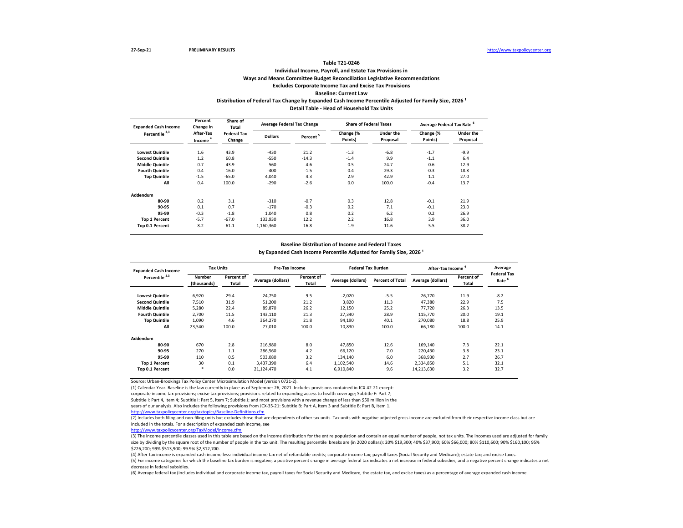## **Individual Income, Payroll, and Estate Tax Provisions in Ways and Means Committee Budget Reconciliation Legislative Recommendations Excludes Corporate Income Tax and Excise Tax Provisions Baseline: Current Law** Distribution of Federal Tax Change by Expanded Cash Income Percentile Adjusted for Family Size, 2026<sup>1</sup> **Detail Table - Head of Household Tax Units**

| <b>Expanded Cash Income</b> | Percent<br>Change in             | Share of<br>Total            |                | <b>Average Federal Tax Change</b> | <b>Share of Federal Taxes</b> |                              | Average Federal Tax Rate <sup>6</sup> |                              |
|-----------------------------|----------------------------------|------------------------------|----------------|-----------------------------------|-------------------------------|------------------------------|---------------------------------------|------------------------------|
| Percentile <sup>2,3</sup>   | After-Tax<br>Income <sup>4</sup> | <b>Federal Tax</b><br>Change | <b>Dollars</b> | Percent <sup>5</sup>              | Change (%<br>Points)          | <b>Under the</b><br>Proposal | Change (%<br>Points)                  | <b>Under the</b><br>Proposal |
| <b>Lowest Quintile</b>      | 1.6                              | 43.9                         | $-430$         | 21.2                              | $-1.3$                        | $-6.8$                       | $-1.7$                                | $-9.9$                       |
| <b>Second Quintile</b>      | 1.2                              | 60.8                         | $-550$         | $-14.3$                           | $-1.4$                        | 9.9                          | $-1.1$                                | 6.4                          |
| <b>Middle Quintile</b>      | 0.7                              | 43.9                         | $-560$         | $-4.6$                            | $-0.5$                        | 24.7                         | $-0.6$                                | 12.9                         |
| <b>Fourth Quintile</b>      | 0.4                              | 16.0                         | $-400$         | $-1.5$                            | 0.4                           | 29.3                         | $-0.3$                                | 18.8                         |
| <b>Top Quintile</b>         | $-1.5$                           | $-65.0$                      | 4,040          | 4.3                               | 2.9                           | 42.9                         | 1.1                                   | 27.0                         |
| All                         | 0.4                              | 100.0                        | $-290$         | $-2.6$                            | 0.0                           | 100.0                        | $-0.4$                                | 13.7                         |
| Addendum                    |                                  |                              |                |                                   |                               |                              |                                       |                              |
| 80-90                       | 0.2                              | 3.1                          | $-310$         | $-0.7$                            | 0.3                           | 12.8                         | $-0.1$                                | 21.9                         |
| 90-95                       | 0.1                              | 0.7                          | $-170$         | $-0.3$                            | 0.2                           | 7.1                          | $-0.1$                                | 23.0                         |
| 95-99                       | $-0.3$                           | $-1.8$                       | 1,040          | 0.8                               | 0.2                           | 6.2                          | 0.2                                   | 26.9                         |
| <b>Top 1 Percent</b>        | $-5.7$                           | $-67.0$                      | 133,930        | 12.2                              | 2.2                           | 16.8                         | 3.9                                   | 36.0                         |
| Top 0.1 Percent             | $-8.2$                           | $-61.1$                      | 1.160.360      | 16.8                              | 1.9                           | 11.6                         | 5.5                                   | 38.2                         |

#### **Baseline Distribution of Income and Federal Taxes**

by Expanded Cash Income Percentile Adjusted for Family Size, 2026<sup>1</sup>

| <b>Expanded Cash Income</b> | <b>Tax Units</b>             |                     | Pre-Tax Income    |                     | <b>Federal Tax Burden</b> |                         | <b>After-Tax Income</b> | Average<br><b>Federal Tax</b> |                   |
|-----------------------------|------------------------------|---------------------|-------------------|---------------------|---------------------------|-------------------------|-------------------------|-------------------------------|-------------------|
| Percentile <sup>2,3</sup>   | <b>Number</b><br>(thousands) | Percent of<br>Total | Average (dollars) | Percent of<br>Total | Average (dollars)         | <b>Percent of Total</b> | Average (dollars)       | Percent of<br>Total           | Rate <sup>6</sup> |
| <b>Lowest Quintile</b>      | 6,920                        | 29.4                | 24.750            | 9.5                 | $-2,020$                  | $-5.5$                  | 26.770                  | 11.9                          | $-8.2$            |
| <b>Second Quintile</b>      | 7,510                        | 31.9                | 51,200            | 21.2                | 3.820                     | 11.3                    | 47,380                  | 22.9                          | 7.5               |
| <b>Middle Quintile</b>      | 5,280                        | 22.4                | 89.870            | 26.2                | 12,150                    | 25.2                    | 77.720                  | 26.3                          | 13.5              |
| <b>Fourth Quintile</b>      | 2,700                        | 11.5                | 143,110           | 21.3                | 27,340                    | 28.9                    | 115,770                 | 20.0                          | 19.1              |
| <b>Top Quintile</b>         | 1,090                        | 4.6                 | 364,270           | 21.8                | 94,190                    | 40.1                    | 270,080                 | 18.8                          | 25.9              |
| All                         | 23,540                       | 100.0               | 77.010            | 100.0               | 10,830                    | 100.0                   | 66,180                  | 100.0                         | 14.1              |
| Addendum                    |                              |                     |                   |                     |                           |                         |                         |                               |                   |
| 80-90                       | 670                          | 2.8                 | 216,980           | 8.0                 | 47,850                    | 12.6                    | 169,140                 | 7.3                           | 22.1              |
| 90-95                       | 270                          | 1.1                 | 286,560           | 4.2                 | 66,120                    | 7.0                     | 220,430                 | 3.8                           | 23.1              |
| 95-99                       | 110                          | 0.5                 | 503,080           | 3.2                 | 134,140                   | 6.0                     | 368,930                 | 2.7                           | 26.7              |
| <b>Top 1 Percent</b>        | 30                           | 0.1                 | 3.437.390         | 6.4                 | 1.102.540                 | 14.6                    | 2.334.850               | 5.1                           | 32.1              |
| Top 0.1 Percent             | $\ast$                       | 0.0                 | 21.124.470        | 4.1                 | 6,910,840                 | 9.6                     | 14,213,630              | 3.2                           | 32.7              |

Source: Urban-Brookings Tax Policy Center Microsimulation Model (version 0721-2).

(1) Calendar Year. Baseline is the law currently in place as of September 26, 2021. Includes provisions contained in JCX-42-21 except:

corporate income tax provisions; excise tax provisions; provisions related to expanding access to health coverage; Subtitle F: Part 7;

Subtitle I: Part 4, item 4; Subtitle I: Part 5, item 7; Subtitle J; and most provisions with a revenue change of less than \$50 million in the

years of our analysis. Also includes the following provisions from JCX-35-21: Subtitle B: Part A, item 3 and Subtitle B: Part B, item 1.

<http://www.taxpolicycenter.org/taxtopics/Baseline-Definitions.cfm>

(2) Includes both filing and non-filing units but excludes those that are dependents of other tax units. Tax units with negative adjusted gross income are excluded from their respective income class but are included in the totals. For a description of expanded cash income, see

[http://www.taxpolicycent](http://www.taxpolicycenter.org/TaxModel/income.cfm)er.org/TaxModel/income.cfm

(3) The income percentile classes used in this table are based on the income distribution for the entire population and contain an equal number of people, not tax units. The incomes used are adjusted for family size by dividing by the square root of the number of people in the tax unit. The resulting percentile breaks are (in 2020 dollars): 20% \$19,300; 40% \$31,900; 60% \$66,000; 80% \$110,600; 90% \$160,100; 95% \$226,200; 99% \$513,900; 99.9% \$2,312,700.

(4) After-tax income is expanded cash income less: individual income tax net of refundable credits; corporate income tax; payroll taxes (Social Security and Medicare); estate tax; and excise taxes. (5) For income categories for which the baseline tax burden is negative, a positive percent change in average federal tax indicates a net increase in federal subsidies, and a negative percent change indicates a net decrease in federal subsidies.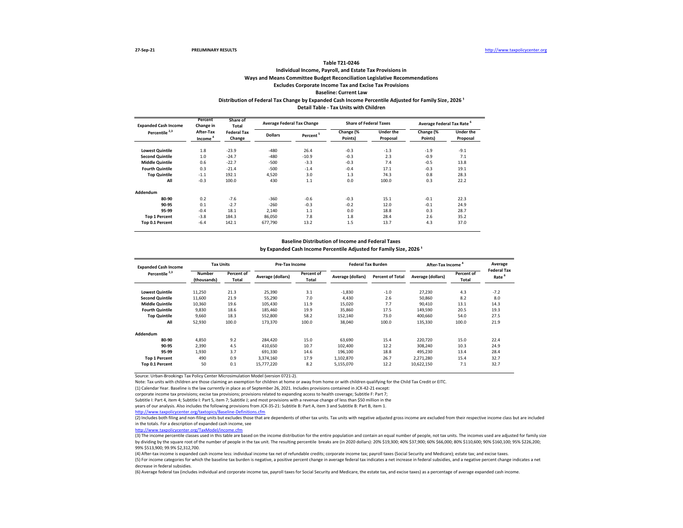## **Individual Income, Payroll, and Estate Tax Provisions in Ways and Means Committee Budget Reconciliation Legislative Recommendations Excludes Corporate Income Tax and Excise Tax Provisions Baseline: Current Law Distribution of Federal Tax Change by Expanded Cash Income Percentile Adjusted for Family Size, 2026 ¹**

**Detail Table - Tax Units with Children**

| <b>Expanded Cash Income</b> | Percent<br>Change in             | Share of<br>Total                              | <b>Average Federal Tax Change</b> |                      | <b>Share of Federal Taxes</b> |                              | Average Federal Tax Rate <sup>6</sup> |                              |
|-----------------------------|----------------------------------|------------------------------------------------|-----------------------------------|----------------------|-------------------------------|------------------------------|---------------------------------------|------------------------------|
| Percentile <sup>2,3</sup>   | After-Tax<br>Income <sup>4</sup> | <b>Federal Tax</b><br><b>Dollars</b><br>Change |                                   | Percent <sup>5</sup> | Change (%<br>Points)          | <b>Under the</b><br>Proposal | Change (%<br>Points)                  | <b>Under the</b><br>Proposal |
| <b>Lowest Quintile</b>      | 1.8                              | $-23.9$                                        | $-480$                            | 26.4                 | $-0.3$                        | $-1.3$                       | $-1.9$                                | $-9.1$                       |
| <b>Second Quintile</b>      | 1.0                              | $-24.7$                                        | $-480$                            | $-10.9$              | $-0.3$                        | 2.3                          | $-0.9$                                | 7.1                          |
| <b>Middle Quintile</b>      | 0.6                              | $-22.7$                                        | $-500$                            | $-3.3$               | $-0.3$                        | 7.4                          | $-0.5$                                | 13.8                         |
| <b>Fourth Quintile</b>      | 0.3                              | $-21.4$                                        | $-500$                            | $-1.4$               | $-0.4$                        | 17.1                         | $-0.3$                                | 19.1                         |
| <b>Top Quintile</b>         | $-1.1$                           | 192.1                                          | 4,520                             | 3.0                  | 1.3                           | 74.3                         | 0.8                                   | 28.3                         |
| All                         | $-0.3$                           | 100.0                                          | 430                               | 1.1                  | 0.0                           | 100.0                        | 0.3                                   | 22.2                         |
| Addendum                    |                                  |                                                |                                   |                      |                               |                              |                                       |                              |
| 80-90                       | 0.2                              | $-7.6$                                         | $-360$                            | $-0.6$               | $-0.3$                        | 15.1                         | $-0.1$                                | 22.3                         |
| 90-95                       | 0.1                              | $-2.7$                                         | $-260$                            | $-0.3$               | $-0.2$                        | 12.0                         | $-0.1$                                | 24.9                         |
| 95-99                       | $-0.4$                           | 18.1                                           | 2.140                             | 1.1                  | 0.0                           | 18.8                         | 0.3                                   | 28.7                         |
| <b>Top 1 Percent</b>        | $-3.8$                           | 184.3                                          | 86,050                            | 7.8                  | 1.8                           | 28.4                         | 2.6                                   | 35.2                         |
| Top 0.1 Percent             | $-6.4$                           | 142.1                                          | 677,790                           | 13.2                 | 1.5                           | 13.7                         | 4.3                                   | 37.0                         |

#### **Baseline Distribution of Income and Federal Taxes**

by Expanded Cash Income Percentile Adjusted for Family Size, 2026<sup>1</sup>

| <b>Expanded Cash Income</b> | <b>Tax Units</b>             |                     | <b>Pre-Tax Income</b> |                     | <b>Federal Tax Burden</b> |                         | <b>After-Tax Income</b> |                     | Average<br><b>Federal Tax</b> |
|-----------------------------|------------------------------|---------------------|-----------------------|---------------------|---------------------------|-------------------------|-------------------------|---------------------|-------------------------------|
| Percentile <sup>2,3</sup>   | <b>Number</b><br>(thousands) | Percent of<br>Total | Average (dollars)     | Percent of<br>Total | Average (dollars)         | <b>Percent of Total</b> | Average (dollars)       | Percent of<br>Total | Rate                          |
| <b>Lowest Quintile</b>      | 11,250                       | 21.3                | 25,390                | 3.1                 | $-1.830$                  | $-1.0$                  | 27,230                  | 4.3                 | $-7.2$                        |
| <b>Second Quintile</b>      | 11,600                       | 21.9                | 55,290                | 7.0                 | 4.430                     | 2.6                     | 50,860                  | 8.2                 | 8.0                           |
| <b>Middle Quintile</b>      | 10,360                       | 19.6                | 105,430               | 11.9                | 15.020                    | 7.7                     | 90,410                  | 13.1                | 14.3                          |
| <b>Fourth Quintile</b>      | 9,830                        | 18.6                | 185.460               | 19.9                | 35.860                    | 17.5                    | 149.590                 | 20.5                | 19.3                          |
| <b>Top Quintile</b>         | 9.660                        | 18.3                | 552.800               | 58.2                | 152.140                   | 73.0                    | 400.660                 | 54.0                | 27.5                          |
| All                         | 52,930                       | 100.0               | 173,370               | 100.0               | 38.040                    | 100.0                   | 135,330                 | 100.0               | 21.9                          |
| Addendum                    |                              |                     |                       |                     |                           |                         |                         |                     |                               |
| 80-90                       | 4.850                        | 9.2                 | 284.420               | 15.0                | 63.690                    | 15.4                    | 220.720                 | 15.0                | 22.4                          |
| 90-95                       | 2.390                        | 4.5                 | 410.650               | 10.7                | 102.400                   | 12.2                    | 308.240                 | 10.3                | 24.9                          |
| 95-99                       | 1.930                        | 3.7                 | 691.330               | 14.6                | 196.100                   | 18.8                    | 495.230                 | 13.4                | 28.4                          |
| <b>Top 1 Percent</b>        | 490                          | 0.9                 | 3.374.160             | 17.9                | 1.102.870                 | 26.7                    | 2.271.280               | 15.4                | 32.7                          |
| Top 0.1 Percent             | 50                           | 0.1                 | 15,777,220            | 8.2                 | 5,155,070                 | 12.2                    | 10,622,150              | 7.1                 | 32.7                          |

Source: Urban-Brookings Tax Policy Center Microsimulation Model (version 0721-2).

Note: Tax units with children are those claiming an exemption for children at home or away from home or with children qualifying for the Child Tax Credit or EITC.

(1) Calendar Year. Baseline is the law currently in place as of September 26, 2021. Includes provisions contained in JCX-42-21 except:

corporate income tax provisions; excise tax provisions; provisions related to expanding access to health coverage; Subtitle F: Part 7;

Subtitle I: Part 4, item 4; Subtitle I: Part 5, item 7; Subtitle J; and most provisions with a revenue change of less than \$50 million in the

years of our analysis. Also includes the following provisions from JCX-35-21: Subtitle B: Part A, item 3 and Subtitle B: Part B, item 1.

<http://www.taxpolicycenter.org/taxtopics/Baseline-Definitions.cfm>

(2) Includes both filing and non-filing units but excludes those that are dependents of other tax units. Tax units with negative adjusted gross income are excluded from their respective income class but are included in the totals. For a description of expanded cash income, see

[http://www.taxpolicycente](http://www.taxpolicycenter.org/TaxModel/income.cfm)r.org/TaxModel/income.cfm

(3) The income percentile classes used in this table are based on the income distribution for the entire population and contain an equal number of people, not tax units. The incomes used are adjusted for family size by dividing by the square root of the number of people in the tax unit. The resulting percentile breaks are (in 2020 dollars): 20% \$19,300; 40% \$37,900; 60% \$66,000; 80% \$110,600; 90% \$160,100; 95% \$226,200; 99% \$513,900; 99.9% \$2,312,700.

(4) After-tax income is expanded cash income less: individual income tax net of refundable credits; corporate income tax; payroll taxes (Social Security and Medicare); estate tax; and excise taxes.

(5) For income categories for which the baseline tax burden is negative, a positive percent change in average federal tax indicates a net increase in federal subsidies, and a negative percent change indicates a net decrease in federal subsidies.